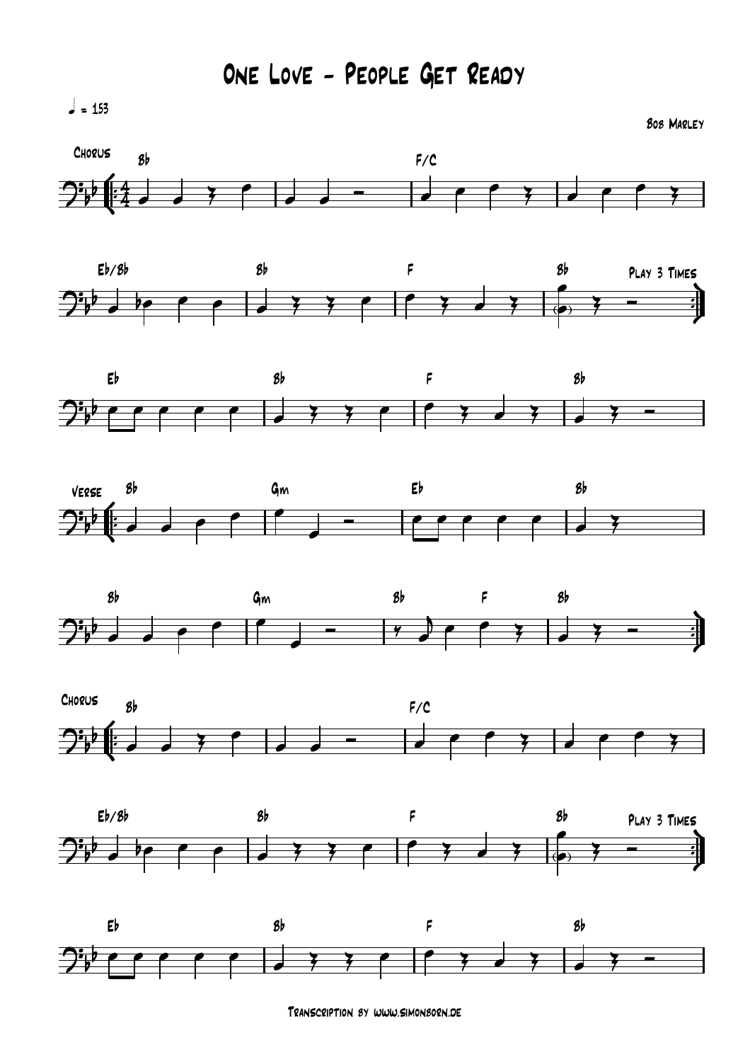$l = 153$ 

Bob Marley

















Transcription by www.simonborn.de